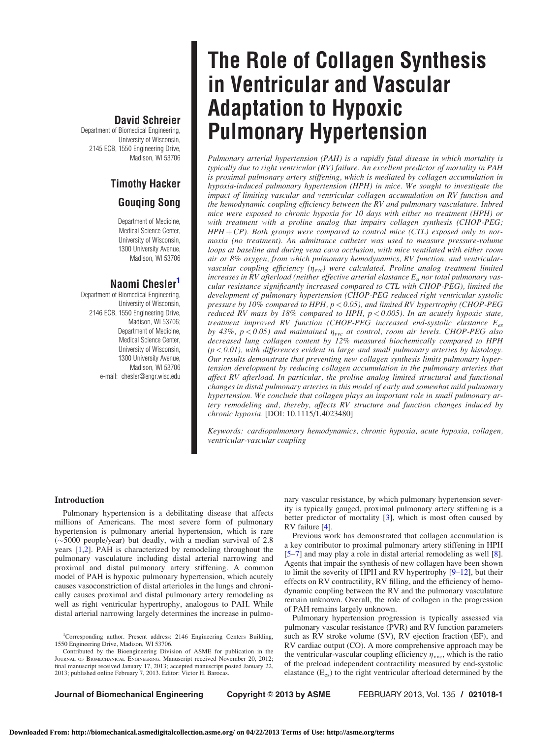### David Schreier

Department of Biomedical Engineering, University of Wisconsin, 2145 ECB, 1550 Engineering Drive, Madison, WI 53706

## Timothy Hacker

### Gouqing Song

Department of Medicine, Medical Science Center, University of Wisconsin, 1300 University Avenue, Madison, WI 53706

### Naomi Chesler'

Department of Biomedical Engineering, University of Wisconsin, 2146 ECB, 1550 Engineering Drive, Madison, WI 53706; Department of Medicine, Medical Science Center, University of Wisconsin, 1300 University Avenue, Madison, WI 53706 e-mail: chesler@engr.wisc.edu

# The Role of Collagen Synthesis in Ventricular and Vascular Adaptation to Hypoxic Pulmonary Hypertension

Pulmonary arterial hypertension (PAH) is a rapidly fatal disease in which mortality is typically due to right ventricular (RV) failure. An excellent predictor of mortality in PAH is proximal pulmonary artery stiffening, which is mediated by collagen accumulation in hypoxia-induced pulmonary hypertension (HPH) in mice. We sought to investigate the impact of limiting vascular and ventricular collagen accumulation on RV function and the hemodynamic coupling efficiency between the RV and pulmonary vasculature. Inbred mice were exposed to chronic hypoxia for 10 days with either no treatment (HPH) or with treatment with a proline analog that impairs collagen synthesis (CHOP-PEG;  $HPH + CP$ ). Both groups were compared to control mice (CTL) exposed only to normoxia (no treatment). An admittance catheter was used to measure pressure-volume loops at baseline and during vena cava occlusion, with mice ventilated with either room air or 8% oxygen, from which pulmonary hemodynamics, RV function, and ventricularvascular coupling efficiency  $(\eta_{\text{vvc}})$  were calculated. Proline analog treatment limited increases in RV afterload (neither effective arterial elastance  $E_a$  nor total pulmonary vascular resistance significantly increased compared to CTL with CHOP-PEG), limited the development of pulmonary hypertension (CHOP-PEG reduced right ventricular systolic pressure by 10% compared to HPH,  $p < 0.05$ ), and limited RV hypertrophy (CHOP-PEG reduced RV mass by 18% compared to HPH,  $p < 0.005$ ). In an acutely hypoxic state, treatment improved RV function (CHOP-PEG increased end-systolic elastance  $E_{es}$ by 43%,  $p < 0.05$ ) and maintained  $\eta_{\text{vvc}}$  at control, room air levels. CHOP-PEG also decreased lung collagen content by 12% measured biochemically compared to HPH  $(p < 0.01)$ , with differences evident in large and small pulmonary arteries by histology. Our results demonstrate that preventing new collagen synthesis limits pulmonary hypertension development by reducing collagen accumulation in the pulmonary arteries that affect RV afterload. In particular, the proline analog limited structural and functional changes in distal pulmonary arteries in this model of early and somewhat mild pulmonary hypertension. We conclude that collagen plays an important role in small pulmonary artery remodeling and, thereby, affects RV structure and function changes induced by chronic hypoxia. [DOI: 10.1115/1.4023480]

Keywords: cardiopulmonary hemodynamics, chronic hypoxia, acute hypoxia, collagen, ventricular-vascular coupling

> nary vascular resistance, by which pulmonary hypertension severity is typically gauged, proximal pulmonary artery stiffening is a better predictor of mortality [\[3\]](#page-5-0), which is most often caused by

> Previous work has demonstrated that collagen accumulation is a key contributor to proximal pulmonary artery stiffening in HPH [[5–7](#page-5-0)] and may play a role in distal arterial remodeling as well [\[8\]](#page-5-0). Agents that impair the synthesis of new collagen have been shown to limit the severity of HPH and RV hypertrophy [[9](#page-5-0)–[12\]](#page-5-0), but their effects on RV contractility, RV filling, and the efficiency of hemodynamic coupling between the RV and the pulmonary vasculature remain unknown. Overall, the role of collagen in the progression

> Pulmonary hypertension progression is typically assessed via pulmonary vascular resistance (PVR) and RV function parameters such as RV stroke volume (SV), RV ejection fraction (EF), and RV cardiac output (CO). A more comprehensive approach may be the ventricular-vascular coupling efficiency  $\eta_{\text{vvc}}$ , which is the ratio of the preload independent contractility measured by end-systolic elastance  $(E_{es})$  to the right ventricular afterload determined by the

#### Introduction

Pulmonary hypertension is a debilitating disease that affects millions of Americans. The most severe form of pulmonary hypertension is pulmonary arterial hypertension, which is rare  $(\sim)5000$  people/year) but deadly, with a median survival of 2.8 years [[1,2\]](#page-5-0). PAH is characterized by remodeling throughout the pulmonary vasculature including distal arterial narrowing and proximal and distal pulmonary artery stiffening. A common model of PAH is hypoxic pulmonary hypertension, which acutely causes vasoconstriction of distal arterioles in the lungs and chronically causes proximal and distal pulmonary artery remodeling as well as right ventricular hypertrophy, analogous to PAH. While distal arterial narrowing largely determines the increase in pulmo-

RV failure [[4](#page-5-0)].

of PAH remains largely unknown.

Journal of Biomechanical Engineering Copyright © 2013 by ASME FEBRUARY 2013, Vol. 135 / 021018-1

<sup>&</sup>lt;sup>1</sup>Corresponding author. Present address: 2146 Engineering Centers Building, 1550 Engineering Drive, Madison, WI 53706.

Contributed by the Bioengineering Division of ASME for publication in the JOURNAL OF BIOMECHANICAL ENGINEERING. Manuscript received November 20, 2012; final manuscript received January 17, 2013; accepted manuscript posted January 22, 2013; published online February 7, 2013. Editor: Victor H. Barocas.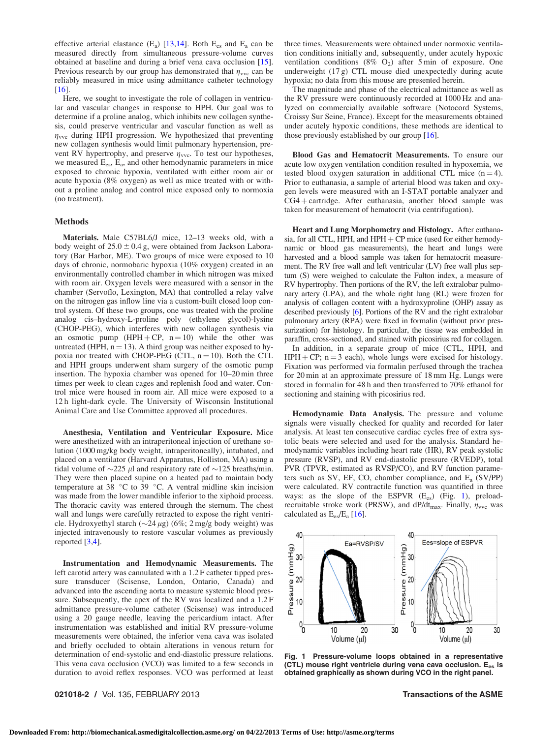effective arterial elastance  $(E_a)$  [\[13,14](#page-5-0)]. Both  $E_{es}$  and  $E_a$  can be measured directly from simultaneous pressure-volume curves obtained at baseline and during a brief vena cava occlusion [[15\]](#page-5-0). Previous research by our group has demonstrated that  $\eta_{\text{vvc}}$  can be reliably measured in mice using admittance catheter technology [[16](#page-5-0)].

Here, we sought to investigate the role of collagen in ventricular and vascular changes in response to HPH. Our goal was to determine if a proline analog, which inhibits new collagen synthesis, could preserve ventricular and vascular function as well as  $\eta_{\text{vvc}}$  during HPH progression. We hypothesized that preventing new collagen synthesis would limit pulmonary hypertension, prevent RV hypertrophy, and preserve  $\eta_{\text{vvc}}$ . To test our hypotheses, we measured  $E_{es}$ ,  $E_a$ , and other hemodynamic parameters in mice exposed to chronic hypoxia, ventilated with either room air or acute hypoxia (8% oxygen) as well as mice treated with or without a proline analog and control mice exposed only to normoxia (no treatment).

#### Methods

Materials. Male C57BL6/J mice, 12–13 weeks old, with a body weight of  $25.0 \pm 0.4$  g, were obtained from Jackson Laboratory (Bar Harbor, ME). Two groups of mice were exposed to 10 days of chronic, normobaric hypoxia (10% oxygen) created in an environmentally controlled chamber in which nitrogen was mixed with room air. Oxygen levels were measured with a sensor in the chamber (Servoflo, Lexington, MA) that controlled a relay valve on the nitrogen gas inflow line via a custom-built closed loop control system. Of these two groups, one was treated with the proline analog cis–hydroxy-L-proline poly (ethylene glycol)-lysine (CHOP-PEG), which interferes with new collagen synthesis via an osmotic pump  $(HPH + CP, n = 10)$  while the other was untreated (HPH,  $n = 13$ ). A third group was neither exposed to hypoxia nor treated with CHOP-PEG (CTL,  $n = 10$ ). Both the CTL and HPH groups underwent sham surgery of the osmotic pump insertion. The hypoxia chamber was opened for 10–20 min three times per week to clean cages and replenish food and water. Control mice were housed in room air. All mice were exposed to a 12 h light-dark cycle. The University of Wisconsin Institutional Animal Care and Use Committee approved all procedures.

Anesthesia, Ventilation and Ventricular Exposure. Mice were anesthetized with an intraperitoneal injection of urethane solution (1000 mg/kg body weight, intraperitoneally), intubated, and placed on a ventilator (Harvard Apparatus, Holliston, MA) using a tidal volume of  $\sim$ 225  $\mu$ l and respiratory rate of  $\sim$ 125 breaths/min. They were then placed supine on a heated pad to maintain body temperature at 38  $\degree$ C to 39  $\degree$ C. A ventral midline skin incision was made from the lower mandible inferior to the xiphoid process. The thoracic cavity was entered through the sternum. The chest wall and lungs were carefully retracted to expose the right ventricle. Hydroxyethyl starch  $(\sim 24 \,\mu g)$  (6%; 2 mg/g body weight) was injected intravenously to restore vascular volumes as previously reported [\[3,4\]](#page-5-0).

Instrumentation and Hemodynamic Measurements. The left carotid artery was cannulated with a 1.2 F catheter tipped pressure transducer (Scisense, London, Ontario, Canada) and advanced into the ascending aorta to measure systemic blood pressure. Subsequently, the apex of the RV was localized and a 1.2 F admittance pressure-volume catheter (Scisense) was introduced using a 20 gauge needle, leaving the pericardium intact. After instrumentation was established and initial RV pressure-volume measurements were obtained, the inferior vena cava was isolated and briefly occluded to obtain alterations in venous return for determination of end-systolic and end-diastolic pressure relations. This vena cava occlusion (VCO) was limited to a few seconds in duration to avoid reflex responses. VCO was performed at least three times. Measurements were obtained under normoxic ventilation conditions initially and, subsequently, under acutely hypoxic ventilation conditions (8%  $O_2$ ) after 5 min of exposure. One underweight (17 g) CTL mouse died unexpectedly during acute hypoxia; no data from this mouse are presented herein.

The magnitude and phase of the electrical admittance as well as the RV pressure were continuously recorded at 1000 Hz and analyzed on commercially available software (Notocord Systems, Croissy Sur Seine, France). Except for the measurements obtained under acutely hypoxic conditions, these methods are identical to those previously established by our group [[16\]](#page-5-0).

Blood Gas and Hematocrit Measurements. To ensure our acute low oxygen ventilation condition resulted in hypoxemia, we tested blood oxygen saturation in additional CTL mice  $(n = 4)$ . Prior to euthanasia, a sample of arterial blood was taken and oxygen levels were measured with an I-STAT portable analyzer and  $CG4 + cartridge.$  After euthanasia, another blood sample was taken for measurement of hematocrit (via centrifugation).

Heart and Lung Morphometry and Histology. After euthanasia, for all CTL, HPH, and HPH  $+$  CP mice (used for either hemodynamic or blood gas measurements), the heart and lungs were harvested and a blood sample was taken for hematocrit measurement. The RV free wall and left ventricular (LV) free wall plus septum (S) were weighed to calculate the Fulton index, a measure of RV hypertrophy. Then portions of the RV, the left extralobar pulmonary artery (LPA), and the whole right lung (RL) were frozen for analysis of collagen content with a hydroxyproline (OHP) assay as described previously [\[6\]](#page-5-0). Portions of the RV and the right extralobar pulmonary artery (RPA) were fixed in formalin (without prior pressurization) for histology. In particular, the tissue was embedded in paraffin, cross-sectioned, and stained with picosirius red for collagen.

In addition, in a separate group of mice (CTL, HPH, and  $HPH + CP$ ; n = 3 each), whole lungs were excised for histology. Fixation was performed via formalin perfused through the trachea for 20 min at an approximate pressure of 18 mm Hg. Lungs were stored in formalin for 48 h and then transferred to 70% ethanol for sectioning and staining with picosirius red.

Hemodynamic Data Analysis. The pressure and volume signals were visually checked for quality and recorded for later analysis. At least ten consecutive cardiac cycles free of extra systolic beats were selected and used for the analysis. Standard hemodynamic variables including heart rate (HR), RV peak systolic pressure (RVSP), and RV end-diastolic pressure (RVEDP), total PVR (TPVR, estimated as RVSP/CO), and RV function parameters such as SV, EF, CO, chamber compliance, and Ea (SV/PP) were calculated. RV contractile function was quantified in three ways: as the slope of the ESPVR  $(E_{es})$  (Fig. 1), preloadrecruitable stroke work (PRSW), and dP/dt<sub>max</sub>. Finally,  $\eta_{\text{vvc}}$  was calculated as  $E_{es}/E_a$  [\[16](#page-5-0)].



Fig. 1 Pressure-volume loops obtained in a representative (CTL) mouse right ventricle during vena cava occlusion. E<sub>es</sub> is obtained graphically as shown during VCO in the right panel.

### 021018-2 / Vol. 135, FEBRUARY 2013 **Transactions of the ASME**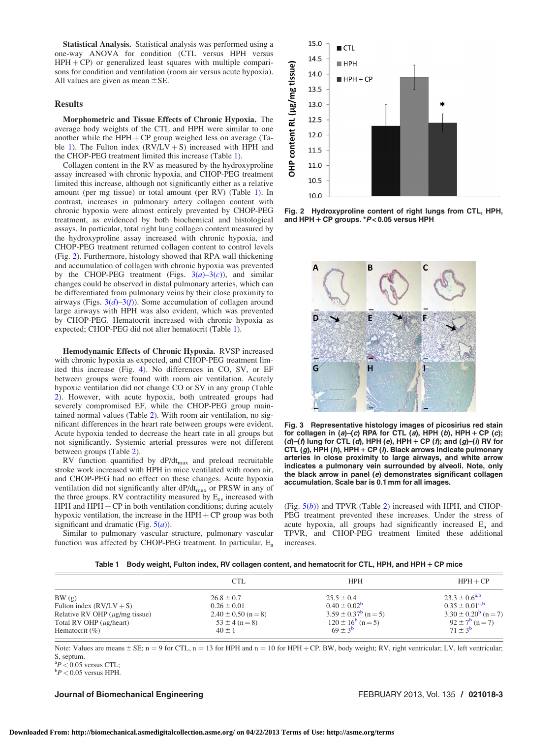Statistical Analysis. Statistical analysis was performed using a one-way ANOVA for condition (CTL versus HPH versus  $HPH + CP$ ) or generalized least squares with multiple comparisons for condition and ventilation (room air versus acute hypoxia). All values are given as mean  $\pm$ SE.

#### Results

Morphometric and Tissue Effects of Chronic Hypoxia. The average body weights of the CTL and HPH were similar to one another while the  $HPH + CP$  group weighed less on average (Table 1). The Fulton index  $(RV/LV + S)$  increased with HPH and the CHOP-PEG treatment limited this increase (Table 1).

Collagen content in the RV as measured by the hydroxyproline assay increased with chronic hypoxia, and CHOP-PEG treatment limited this increase, although not significantly either as a relative amount (per mg tissue) or total amount (per RV) (Table 1). In contrast, increases in pulmonary artery collagen content with chronic hypoxia were almost entirely prevented by CHOP-PEG treatment, as evidenced by both biochemical and histological assays. In particular, total right lung collagen content measured by the hydroxyproline assay increased with chronic hypoxia, and CHOP-PEG treatment returned collagen content to control levels (Fig. 2). Furthermore, histology showed that RPA wall thickening and accumulation of collagen with chronic hypoxia was prevented by the CHOP-PEG treatment (Figs.  $3(a)-3(c)$ ), and similar changes could be observed in distal pulmonary arteries, which can be differentiated from pulmonary veins by their close proximity to airways (Figs.  $3(d)$ –3(f)). Some accumulation of collagen around large airways with HPH was also evident, which was prevented by CHOP-PEG. Hematocrit increased with chronic hypoxia as expected; CHOP-PEG did not alter hematocrit (Table 1).

Hemodynamic Effects of Chronic Hypoxia. RVSP increased with chronic hypoxia as expected, and CHOP-PEG treatment limited this increase (Fig. [4\)](#page-3-0). No differences in CO, SV, or EF between groups were found with room air ventilation. Acutely hypoxic ventilation did not change CO or SV in any group (Table [2\)](#page-3-0). However, with acute hypoxia, both untreated groups had severely compromised EF, while the CHOP-PEG group maintained normal values (Table [2](#page-3-0)). With room air ventilation, no significant differences in the heart rate between groups were evident. Acute hypoxia tended to decrease the heart rate in all groups but not significantly. Systemic arterial pressures were not different between groups (Table [2](#page-3-0)).

RV function quantified by dP/dtmax and preload recruitable stroke work increased with HPH in mice ventilated with room air, and CHOP-PEG had no effect on these changes. Acute hypoxia ventilation did not significantly alter dP/dt<sub>max</sub> or PRSW in any of the three groups. RV contractility measured by  $E_{es}$  increased with HPH and  $HPH + CP$  in both ventilation conditions; during acutely hypoxic ventilation, the increase in the  $HPH + CP$  group was both significant and dramatic (Fig.  $5(a)$  $5(a)$ ).

Similar to pulmonary vascular structure, pulmonary vascular function was affected by CHOP-PEG treatment. In particular, Ea



Fig. 2 Hydroxyproline content of right lungs from CTL, HPH, and HPH  $+$  CP groups.  $*P$  < 0.05 versus HPH



Fig. 3 Representative histology images of picosirius red stain for collagen in  $(a)-(c)$  RPA for CTL  $(a)$ , HPH  $(b)$ , HPH + CP  $(c)$ ;  $(d)$ – $(f)$  lung for CTL  $(d)$ , HPH  $(e)$ , HPH + CP  $(f)$ ; and  $(g)$ – $(f)$  RV for CTL  $(g)$ , HPH  $(h)$ , HPH + CP  $(h)$ . Black arrows indicate pulmonary arteries in close proximity to large airways, and white arrow indicates a pulmonary vein surrounded by alveoli. Note, only the black arrow in panel (e) demonstrates significant collagen accumulation. Scale bar is 0.1 mm for all images.

(Fig.  $5(b)$  $5(b)$ ) and TPVR (Table [2](#page-3-0)) increased with HPH, and CHOP-PEG treatment prevented these increases. Under the stress of acute hypoxia, all groups had significantly increased  $E_a$  and TPVR, and CHOP-PEG treatment limited these additional increases.

| Table 1 Body weight, Fulton index, RV collagen content, and hematocrit for CTL, HPH, and HPH + CP mice |  |  |  |  |  |  |  |  |  |
|--------------------------------------------------------------------------------------------------------|--|--|--|--|--|--|--|--|--|
|--------------------------------------------------------------------------------------------------------|--|--|--|--|--|--|--|--|--|

|                                                                                                                                    | <b>CTL</b>                                                                                       | <b>HPH</b>                                                                                                                   | $HPH + CP$                                                                                                                     |
|------------------------------------------------------------------------------------------------------------------------------------|--------------------------------------------------------------------------------------------------|------------------------------------------------------------------------------------------------------------------------------|--------------------------------------------------------------------------------------------------------------------------------|
| BW(g)<br>Fulton index $(RV/LV + S)$<br>Relative RV OHP $(\mu g/mg)$ tissue)<br>Total RV OHP $(\mu g$ /heart)<br>Hematocrit $(\% )$ | $26.8 \pm 0.7$<br>$0.26 \pm 0.01$<br>$2.40 \pm 0.50$ (n = 8)<br>$53 \pm 4$ (n = 8)<br>$40 \pm 1$ | $25.5 \pm 0.4$<br>$0.40 \pm 0.02^{\rm b}$<br>$3.59 \pm 0.37^{\rm b}$ (n = 5)<br>$120 \pm 16^{\rm b}$ (n = 5)<br>$69 \pm 3^b$ | $23.3 \pm 0.6^{a,b}$<br>$0.35 \pm 0.01^{a,b}$<br>$3.30 \pm 0.20^{\rm b}$ (n = 7)<br>$92 \pm 7^{\rm b}$ (n = 7)<br>$71 + 3^{b}$ |

Note: Values are means  $\pm$  SE; n = 9 for CTL, n = 13 for HPH and n = 10 for HPH + CP. BW, body weight; RV, right ventricular; LV, left ventricular; S, septum.

 ${}^{a}P < 0.05$  versus CTL;<br> ${}^{b}P < 0.05$  versus HDH  $\rm{^{b}P}$  < 0.05 versus HPH.

#### Journal of Biomechanical Engineering FEBRUARY 2013, Vol. 135 / 021018-3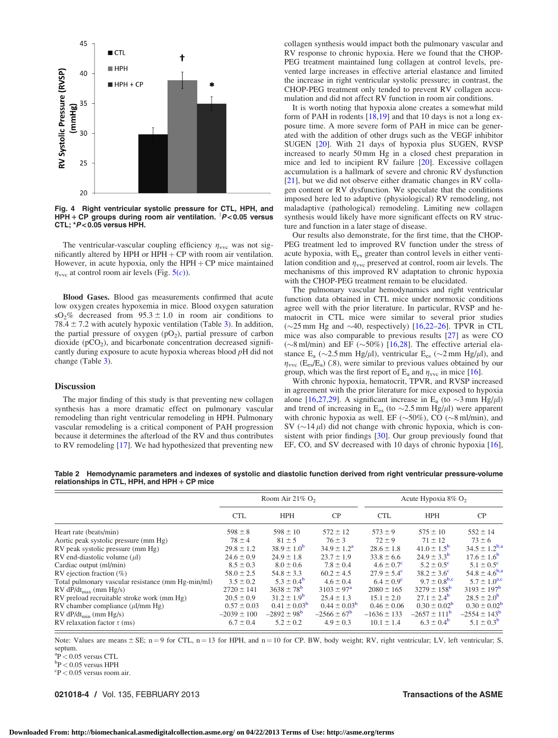<span id="page-3-0"></span>

Fig. 4 Right ventricular systolic pressure for CTL, HPH, and  $HPH + CP$  groups during room air ventilation.  $P < 0.05$  versus CTL; \*P< 0.05 versus HPH.

The ventricular-vascular coupling efficiency  $\eta_{\text{vvc}}$  was not significantly altered by HPH or  $HPH + CP$  with room air ventilation. However, in acute hypoxia, only the  $HPH + CP$  mice maintained  $\eta_{\text{vvc}}$  at control room air levels (Fig.  $5(c)$  $5(c)$ ).

Blood Gases. Blood gas measurements confirmed that acute low oxygen creates hypoxemia in mice. Blood oxygen saturation  $sO_2\%$  decreased from  $95.3 \pm 1.0$  in room air conditions to 78.4  $\pm$  7.2 with acutely hypoxic ventilation (Table [3](#page-4-0)). In addition, the partial pressure of oxygen  $(pO<sub>2</sub>)$ , partial pressure of carbon dioxide  $(pCO<sub>2</sub>)$ , and bicarbonate concentration decreased significantly during exposure to acute hypoxia whereas blood pH did not change (Table [3](#page-4-0)).

#### **Discussion**

The major finding of this study is that preventing new collagen synthesis has a more dramatic effect on pulmonary vascular remodeling than right ventricular remodeling in HPH. Pulmonary vascular remodeling is a critical component of PAH progression because it determines the afterload of the RV and thus contributes to RV remodeling [[17\]](#page-5-0). We had hypothesized that preventing new

collagen synthesis would impact both the pulmonary vascular and RV response to chronic hypoxia. Here we found that the CHOP-PEG treatment maintained lung collagen at control levels, prevented large increases in effective arterial elastance and limited the increase in right ventricular systolic pressure; in contrast, the CHOP-PEG treatment only tended to prevent RV collagen accumulation and did not affect RV function in room air conditions.

It is worth noting that hypoxia alone creates a somewhat mild form of PAH in rodents [\[18](#page-5-0),[19\]](#page-5-0) and that 10 days is not a long exposure time. A more severe form of PAH in mice can be generated with the addition of other drugs such as the VEGF inhibitor SUGEN [[20\]](#page-5-0). With 21 days of hypoxia plus SUGEN, RVSP increased to nearly 50 mm Hg in a closed chest preparation in mice and led to incipient RV failure [\[20](#page-5-0)]. Excessive collagen accumulation is a hallmark of severe and chronic RV dysfunction [[21](#page-5-0)], but we did not observe either dramatic changes in RV collagen content or RV dysfunction. We speculate that the conditions imposed here led to adaptive (physiological) RV remodeling, not maladaptive (pathological) remodeling. Limiting new collagen synthesis would likely have more significant effects on RV structure and function in a later stage of disease.

Our results also demonstrate, for the first time, that the CHOP-PEG treatment led to improved RV function under the stress of acute hypoxia, with E<sub>es</sub> greater than control levels in either ventilation condition and  $\eta_{\text{vvc}}$  preserved at control, room air levels. The mechanisms of this improved RV adaptation to chronic hypoxia with the CHOP-PEG treatment remain to be elucidated.

The pulmonary vascular hemodynamics and right ventricular function data obtained in CTL mice under normoxic conditions agree well with the prior literature. In particular, RVSP and hematocrit in CTL mice were similar to several prior studies  $(\sim 25 \text{ mm Hg}$  and  $\sim 40$ , respectively) [[16,22–26](#page-5-0)]. TPVR in CTL mice was also comparable to previous results [\[27](#page-5-0)] as were CO  $(\sim 8 \text{ ml/min})$  and EF  $(\sim 50\%)$  [\[16](#page-5-0),[28](#page-5-0)]. The effective arterial elastance  $E_a$  ( $\sim$ 2.5 mm Hg/ $\mu$ l), ventricular  $E_{es}$  ( $\sim$ 2 mm Hg/ $\mu$ l), and  $\eta_{\text{vvc}}$  (E<sub>es</sub>/E<sub>a</sub>) (.8), were similar to previous values obtained by our group, which was the first report of  $E_a$  and  $\eta_{\text{vvc}}$  in mice [[16\]](#page-5-0).

With chronic hypoxia, hematocrit, TPVR, and RVSP increased in agreement with the prior literature for mice exposed to hypoxia alone [[16,27,29](#page-5-0)]. A significant increase in  $E_a$  (to  $\sim$ 3 mm Hg/ $\mu$ l) and trend of increasing in  $E_{es}$  (to  $\sim$ 2.5 mm Hg/ $\mu$ l) were apparent with chronic hypoxia as well. EF ( $\sim$ 50%), CO ( $\sim$ 8 ml/min), and SV ( $\sim$ 14  $\mu$ I) did not change with chronic hypoxia, which is consistent with prior findings [[30\]](#page-5-0). Our group previously found that EF, CO, and SV decreased with 10 days of chronic hypoxia [[16\]](#page-5-0),

Table 2 Hemodynamic parameters and indexes of systolic and diastolic function derived from right ventricular pressure-volume relationships in CTL, HPH, and HPH  $+$  CP mice

|                                                    | Room Air $21\%$ O <sub>2</sub> |                         |                         | Acute Hypoxia $8\%$ O <sub>2</sub> |                              |                         |
|----------------------------------------------------|--------------------------------|-------------------------|-------------------------|------------------------------------|------------------------------|-------------------------|
|                                                    | <b>CTL</b>                     | <b>HPH</b>              | CP                      | <b>CTL</b>                         | <b>HPH</b>                   | <b>CP</b>               |
| Heart rate (beats/min)                             | $598 \pm 8$                    | $598 \pm 10$            | $572 \pm 12$            | $573 \pm 9$                        | $575 \pm 10$                 | $552 \pm 14$            |
| Aortic peak systolic pressure (mm Hg)              | $78 \pm 4$                     | $81 \pm 5$              | $76 \pm 3$              | $72 \pm 9$                         | $71 \pm 12$                  | $73 \pm 6$              |
| RV peak systolic pressure (mm Hg)                  | $29.8 \pm 1.2$                 | $38.9 \pm 1.0^{b}$      | $34.9 \pm 1.2^{\rm a}$  | $28.6 \pm 1.8$                     | $41.0 \pm 1.5^{\rm b}$       | $34.5 \pm 1.2^{b,a}$    |
| RV end-diastolic volume $(\mu l)$                  | $24.6 \pm 0.9$                 | $24.9 \pm 1.8$          | $23.7 \pm 1.9$          | $33.8 \pm 6.6$                     | $24.9 \pm 3.3^{\rm b}$       | $17.6 \pm 1.6^{\circ}$  |
| Cardiac output (ml/min)                            | $8.5 \pm 0.3$                  | $8.0 \pm 0.6$           | $7.8 \pm 0.4$           | $4.6 \pm 0.7^{\circ}$              | $5.2 \pm 0.5^{\circ}$        | $5.1 \pm 0.5^{\circ}$   |
| RV ejection fraction $(\%)$                        | $58.0 \pm 2.5$                 | $54.8 \pm 3.3$          | $60.2 \pm 4.5$          | $27.9 \pm 5.4^{\circ}$             | $38.2 \pm 3.6^{\circ}$       | $54.8 \pm 4.6^{b,a}$    |
| Total pulmonary vascular resistance (mm Hg-min/ml) | $3.5 \pm 0.2$                  | $5.3 \pm 0.4^{\rm b}$   | $4.6 \pm 0.4$           | $6.4 \pm 0.9^{\circ}$              | $9.7 \pm 0.8$ <sup>b,c</sup> | $5.7 \pm 1.0^{a,c}$     |
| $RV dP/dt_{max}$ (mm Hg/s)                         | $2720 \pm 141$                 | $3638 \pm 78^{\rm b}$   | $3103 \pm 97^{\rm a}$   | $2080 \pm 165$                     | $3279 \pm 158^{\rm b}$       | $3193 \pm 197^{\rm b}$  |
| RV preload recruitable stroke work (mm Hg)         | $20.5 \pm 0.9$                 | $31.2 \pm 1.9^{\rm b}$  | $25.4 \pm 1.3$          | $15.1 \pm 2.0$                     | $27.1 \pm 2.4^{\rm b}$       | $28.5 \pm 2.0^{\rm b}$  |
| RV chamber compliance $(\mu l/mm Hg)$              | $0.57 \pm 0.03$                | $0.41 \pm 0.03^{\rm b}$ | $0.44 \pm 0.03^{\rm b}$ | $0.46 \pm 0.06$                    | $0.30 \pm 0.02^{\rm b}$      | $0.30 \pm 0.02^{\rm b}$ |
| $RV dP/dt_{\min}$ (mm Hg/s)                        | $-2039 \pm 100$                | $-2892 \pm 98^{\rm b}$  | $-2566 \pm 67^{\rm b}$  | $-1636 \pm 133$                    | $-2657 \pm 111^{\circ}$      | $-2554 \pm 143^{\rm b}$ |
| RV relaxation factor $\tau$ (ms)                   | $6.7 \pm 0.4$                  | $5.2 \pm 0.2$           | $4.9 \pm 0.3$           | $10.1 \pm 1.4$                     | $6.3 \pm 0.4^{\rm b}$        | $5.1 \pm 0.3^{b}$       |

Note: Values are means  $\pm$  SE; n = 9 for CTL, n = 13 for HPH, and n = 10 for CP. BW, body weight; RV, right ventricular; LV, left ventricular; S, septum.

 ${}^{a}_{b}P$  < 0.05 versus CTL<br>bp < 0.05 versus HPH

 $\rm{^{b}P}$  < 0.05 versus HPH

 $\rm{^{\circ}P}$  < 0.05 versus room air.

021018-4 / Vol. 135, FEBRUARY 2013 **Transactions of the ASME**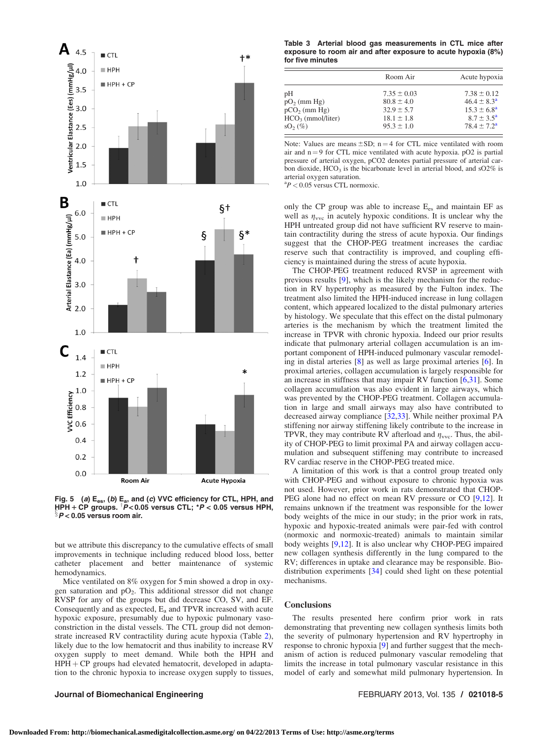<span id="page-4-0"></span>

Fig. 5 (a)  $E_{es}$ , (b)  $E_a$ , and (c) VVC efficiency for CTL, HPH, and HPH 1 CP groups. <sup>y</sup> <sup>P</sup><sup>&</sup>lt; 0.05 versus CTL; \*<sup>P</sup> <sup>&</sup>lt; 0.05 versus HPH, <sup>x</sup><sup>P</sup> <sup>&</sup>lt; 0.05 versus room air.

but we attribute this discrepancy to the cumulative effects of small improvements in technique including reduced blood loss, better catheter placement and better maintenance of systemic hemodynamics.

Mice ventilated on 8% oxygen for 5 min showed a drop in oxygen saturation and  $pO_2$ . This additional stressor did not change RVSP for any of the groups but did decrease CO, SV, and EF. Consequently and as expected,  $E_a$  and TPVR increased with acute hypoxic exposure, presumably due to hypoxic pulmonary vasoconstriction in the distal vessels. The CTL group did not demonstrate increased RV contractility during acute hypoxia (Table [2\)](#page-3-0), likely due to the low hematocrit and thus inability to increase RV oxygen supply to meet demand. While both the HPH and  $HPH + CP$  groups had elevated hematocrit, developed in adaptation to the chronic hypoxia to increase oxygen supply to tissues,

#### Table 3 Arterial blood gas measurements in CTL mice after exposure to room air and after exposure to acute hypoxia (8%) for five minutes

|                     | Room Air        | Acute hypoxia          |  |  |
|---------------------|-----------------|------------------------|--|--|
| pН                  | $7.35 \pm 0.03$ | $7.38 \pm 0.12$        |  |  |
| $pO_2$ (mm Hg)      | $80.8 \pm 4.0$  | $46.4 \pm 8.3^{\circ}$ |  |  |
| $pCO2$ (mm Hg)      | $32.9 \pm 5.7$  | $15.3 \pm 6.8^{\circ}$ |  |  |
| $HCO3$ (mmol/liter) | $18.1 \pm 1.8$  | $8.7 \pm 3.5^{\circ}$  |  |  |
| $SO2(\%)$           | $95.3 \pm 1.0$  | $78.4 + 7.2^{\rm a}$   |  |  |

Note: Values are means  $\pm SD$ ; n = 4 for CTL mice ventilated with room air and  $n = 9$  for CTL mice ventilated with acute hypoxia. pO2 is partial pressure of arterial oxygen, pCO2 denotes partial pressure of arterial carbon dioxide,  $HCO<sub>3</sub>$  is the bicarbonate level in arterial blood, and sO2% is arterial oxygen saturation.

 ${}^{a}P$  < 0.05 versus CTL normoxic.

only the CP group was able to increase  $E_{es}$  and maintain EF as well as  $\eta_{\text{vvc}}$  in acutely hypoxic conditions. It is unclear why the HPH untreated group did not have sufficient RV reserve to maintain contractility during the stress of acute hypoxia. Our findings suggest that the CHOP-PEG treatment increases the cardiac reserve such that contractility is improved, and coupling efficiency is maintained during the stress of acute hypoxia.

The CHOP-PEG treatment reduced RVSP in agreement with previous results [[9\]](#page-5-0), which is the likely mechanism for the reduction in RV hypertrophy as measured by the Fulton index. The treatment also limited the HPH-induced increase in lung collagen content, which appeared localized to the distal pulmonary arteries by histology. We speculate that this effect on the distal pulmonary arteries is the mechanism by which the treatment limited the increase in TPVR with chronic hypoxia. Indeed our prior results indicate that pulmonary arterial collagen accumulation is an important component of HPH-induced pulmonary vascular remodeling in distal arteries [[8](#page-5-0)] as well as large proximal arteries [[6](#page-5-0)]. In proximal arteries, collagen accumulation is largely responsible for an increase in stiffness that may impair RV function [[6](#page-5-0),[31\]](#page-6-0). Some collagen accumulation was also evident in large airways, which was prevented by the CHOP-PEG treatment. Collagen accumulation in large and small airways may also have contributed to decreased airway compliance [[32,33\]](#page-6-0). While neither proximal PA stiffening nor airway stiffening likely contribute to the increase in TPVR, they may contribute RV afterload and  $\eta_{\text{vvc}}$ . Thus, the ability of CHOP-PEG to limit proximal PA and airway collagen accumulation and subsequent stiffening may contribute to increased RV cardiac reserve in the CHOP-PEG treated mice.

A limitation of this work is that a control group treated only with CHOP-PEG and without exposure to chronic hypoxia was not used. However, prior work in rats demonstrated that CHOP-PEG alone had no effect on mean RV pressure or CO [\[9,12\]](#page-5-0). It remains unknown if the treatment was responsible for the lower body weights of the mice in our study; in the prior work in rats, hypoxic and hypoxic-treated animals were pair-fed with control (normoxic and normoxic-treated) animals to maintain similar body weights [[9,12\]](#page-5-0). It is also unclear why CHOP-PEG impaired new collagen synthesis differently in the lung compared to the RV; differences in uptake and clearance may be responsible. Biodistribution experiments [\[34](#page-6-0)] could shed light on these potential mechanisms.

#### **Conclusions**

The results presented here confirm prior work in rats demonstrating that preventing new collagen synthesis limits both the severity of pulmonary hypertension and RV hypertrophy in response to chronic hypoxia [[9](#page-5-0)] and further suggest that the mechanism of action is reduced pulmonary vascular remodeling that limits the increase in total pulmonary vascular resistance in this model of early and somewhat mild pulmonary hypertension. In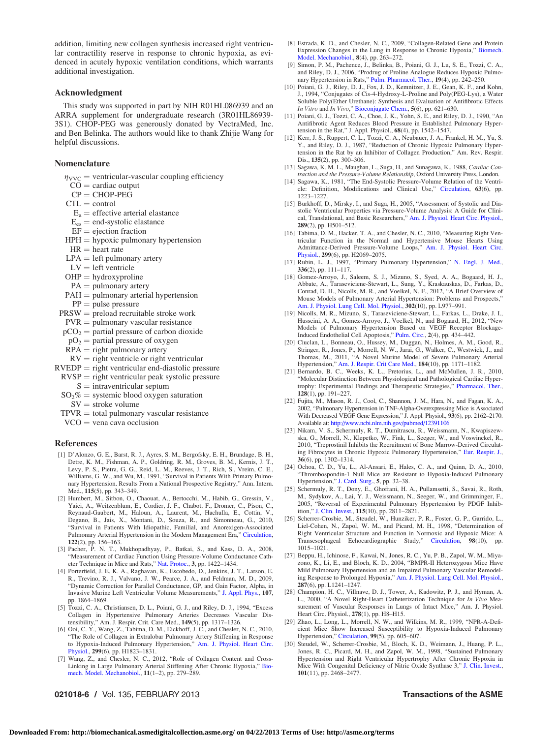<span id="page-5-0"></span>addition, limiting new collagen synthesis increased right ventricular contractility reserve in response to chronic hypoxia, as evidenced in acutely hypoxic ventilation conditions, which warrants additional investigation.

#### Acknowledgment

This study was supported in part by NIH R01HL086939 and an ARRA supplement for undergraduate research (3R01HL86939- 3S1). CHOP-PEG was generously donated by VectraMed, Inc. and Ben Belinka. The authors would like to thank Zhijie Wang for helpful discussions.

#### Nomenclature

 $\eta_{\text{VVC}}$  = ventricular-vascular coupling efficiency

- $CO =$  cardiac output
- $CP = CHOP-PEG$
- $CTL = control$
- $E_a$  = effective arterial elastance
- $E_{es}$  = end-systolic elastance
- $EF =$  ejection fraction
- $HPH = hypoxic$  pulmonary hypertension
- $HR = heart$  rate
- $LPA = left$  pulmonary artery
- $LV = left$  ventricle
- $OHP = \text{hydroxy}$ proline
- $PA =$  pulmonary artery
- $PAH =$  pulmonary arterial hypertension
- $PP = pulse pressure$
- $PRSW =$  preload recruitable stroke work
- $PVR =$  pulmonary vascular resistance
- $pCO<sub>2</sub>$  = partial pressure of carbon dioxide
- $pO<sub>2</sub>$  = partial pressure of oxygen
- $RPA = right$  pulmonary artery
- $RV =$  right ventricle or right ventricular
- $RVEDP = right ventricular end-diastolic pressure$
- $RVSP = right$  ventricular peak systolic pressure  $S =$  intraventricular septum
- $SO<sub>2</sub>%$  = systemic blood oxygen saturation
- $SV =$  stroke volume
- $TPVR =$  total pulmonary vascular resistance
- $VCO =$  vena cava occlusion

#### References

- [1] D'Alonzo, G. E., Barst, R. J., Ayres, S. M., Bergofsky, E. H., Brundage, B. H., Detre, K. M., Fishman, A. P., Goldring, R. M., Groves, B. M., Kernis, J. T., Levy, P. S., Pietra, G. G., Reid, L. M., Reeves, J. T., Rich, S., Vreim, C. E., Williams, G. W., and Wu, M., 1991, "Survival in Patients With Primary Pulmonary Hypertension. Results From a National Prospective Registry," Ann. Intern. Med., 115(5), pp. 343–349.
- [2] Humbert, M., Sitbon, O., Chaouat, A., Bertocchi, M., Habib, G., Gressin, V., Yaici, A., Weitzenblum, E., Cordier, J. F., Chabot, F., Dromer, C., Pison, C., Reynaud-Gaubert, M., Haloun, A., Laurent, M., Hachulla, E., Cottin, V., Degano, B., Jais, X., Montani, D., Souza, R., and Simonneau, G., 2010, "Survival in Patients With Idiopathic, Familial, and Anorexigen-Associated Pulmonary Arterial Hypertension in the Modern Management Era," [Circulation](http://dx.doi.org/10.1161/CIRCULATIONAHA.109.911818), 122(2), pp. 156–163.
- [3] Pacher, P. N. T., Mukhopadhyay, P., Batkai, S., and Kass, D. A., 2008, "Measurement of Cardiac Function Using Pressure-Volume Conductance Cath-eter Technique in Mice and Rats," [Nat. Protoc.,](http://dx.doi.org/10.1038/nprot.2008.138) 3, pp. 1422–1434.
- [4] Porterfield, J. E. K. A., Raghavan, K., Escobedo, D., Jenkins, J. T., Larson, E. R., Trevino, R. J., Valvano, J. W., Pearce, J. A., and Feldman, M. D., 2009, "Dynamic Correction for Parallel Conductance, GP, and Gain Factor, Alpha, in Invasive Murine Left Ventricular Volume Measurements," [J. Appl. Phys.,](http://dx.doi.org/10.1152/japplphysiol.00392.2009) 107, pp. 1864–1869.
- [5] Tozzi, C. A., Christiansen, D. L., Poiani, G. J., and Riley, D. J., 1994, "Excess Collagen in Hypertensive Pulmonary Arteries Decreases Vascular Dis-
- tensibility," Am. J. Respir. Crit. Care Med., 149(5), pp. 1317–1326. [6] Ooi, C. Y., Wang, Z., Tabima, D. M., Eickhoff, J. C., and Chesler, N. C., 2010, "The Role of Collagen in Extralobar Pulmonary Artery Stiffening in Response to Hypoxia-Induced Pulmonary Hypertension," [Am. J. Physiol. Heart Circ.](http://dx.doi.org/10.1152/ajpheart.00493.2009) [Physiol.](http://dx.doi.org/10.1152/ajpheart.00493.2009), 299(6), pp. H1823–1831.
- [7] Wang, Z., and Chesler, N. C., 2012, "Role of Collagen Content and Cross-Linking in Large Pulmonary Arterial Stiffening After Chronic Hypoxia," [Bio](http://dx.doi.org/10.1007/s10237-011-0309-z)[mech. Model. Mechanobiol.](http://dx.doi.org/10.1007/s10237-011-0309-z), 11(1–2), pp. 279–289.

#### 021018-6 / Vol. 135, FEBRUARY 2013 **Transactions of the ASME**

- [8] Estrada, K. D., and Chesler, N. C., 2009, "Collagen-Related Gene and Protein Expression Changes in the Lung in Response to Chronic Hypoxia," [Biomech.](http://dx.doi.org/10.1007/s10237-008-0133-2) [Model. Mechanobiol.](http://dx.doi.org/10.1007/s10237-008-0133-2), 8(4), pp. 263–272.
- [9] Simon, P. M., Pachence, J., Belinka, B., Poiani, G. J., Lu, S. E., Tozzi, C. A., and Riley, D. J., 2006, "Prodrug of Proline Analogue Reduces Hypoxic Pulmonary Hypertension in Rats," [Pulm. Pharmacol. Ther.,](http://dx.doi.org/10.1016/j.pupt.2005.07.001) 19(4), pp. 242–250.
- [10] Poiani, G. J., Riley, D. J., Fox, J. D., Kemnitzer, J. E., Gean, K. F., and Kohn, J., 1994, "Conjugates of Cis-4-Hydroxy-L-Proline and Poly(PEG-Lys), a Water Soluble Poly(Ether Urethane): Synthesis and Evaluation of Antifibrotic Effects In Vitro and In Vivo," [Bioconjugate Chem.](http://dx.doi.org/10.1021/bc00030a018), 5(6), pp. 621–630.
- [11] Poiani, G. J., Tozzi, C. A., Choe, J. K., Yohn, S. E., and Riley, D. J., 1990, "An Antifibrotic Agent Reduces Blood Pressure in Established Pulmonary Hypertension in the Rat," J. Appl. Physiol., 68(4), pp. 1542–1547.
- [12] Kerr, J. S., Ruppert, C. L., Tozzi, C. A., Neubauer, J. A., Frankel, H. M., Yu, S. Y., and Riley, D. J., 1987, "Reduction of Chronic Hypoxic Pulmonary Hypertension in the Rat by an Inhibitor of Collagen Production," Am. Rev. Respir. Dis., 135(2), pp. 300–306.
- [13] Sagawa, K. M. L., Maughan, L., Suga, H., and Sunagawa, K., 1988, Cardiac Contraction and the Pressure-Volume Relationship, Oxford University Press, London.
- [14] Sagawa, K., 1981, "The End-Systolic Pressure-Volume Relation of the Ventricle: Definition, Modifications and Clinical Use," [Circulation,](http://dx.doi.org/10.1161/01.CIR.63.6.1223) 63(6), pp. 1223–1227.
- [15] Burkhoff, D., Mirsky, I., and Suga, H., 2005, "Assessment of Systolic and Diastolic Ventricular Properties via Pressure-Volume Analysis: A Guide for Clinical, Translational, and Basic Researchers," [Am. J. Physiol. Heart Circ. Physiol.](http://dx.doi.org/10.1152/ajpheart.00138.2005), 289(2), pp. H501–512.
- [16] Tabima, D. M., Hacker, T. A., and Chesler, N. C., 2010, "Measuring Right Ventricular Function in the Normal and Hypertensive Mouse Hearts Using Admittance-Derived Pressure-Volume Loops," [Am. J. Physiol. Heart Circ.](http://dx.doi.org/10.1152/ajpheart.00805.2010) [Physiol.](http://dx.doi.org/10.1152/ajpheart.00805.2010), 299(6), pp. H2069-2075.
- [17] Rubin, L. J., 1997, "Primary Pulmonary Hypertension," [N. Engl. J. Med.](http://dx.doi.org/10.1056/NEJM199701093360207), 336(2), pp. 111–117.
- [18] Gomez-Arroyo, J., Saleem, S. J., Mizuno, S., Syed, A. A., Bogaard, H. J., Abbate, A., Taraseviciene-Stewart, L., Sung, Y., Kraskauskas, D., Farkas, D., Conrad, D. H., Nicolls, M. R., and Voelkel, N. F., 2012, "A Brief Overview of Mouse Models of Pulmonary Arterial Hypertension: Problems and Prospects," [Am. J. Physiol. Lung Cell. Mol. Physiol.](http://dx.doi.org/10.1152/ajplung.00362.2011), 302(10), pp. L977–991.
- [19] Nicolls, M. R., Mizuno, S., Taraseviciene-Stewart, L., Farkas, L., Drake, J. I., Husseini, A. A., Gomez-Arroyo, J., Voelkel, N., and Bogaard, H., 2012, "New Models of Pulmonary Hypertension Based on VEGF Receptor Blockage-
- Induced Endothelial Cell Apoptosis," [Pulm. Circ.](http://dx.doi.org/10.4103/2045-8932.105031), 2(4), pp. 434–442. [20] Ciuclan, L., Bonneau, O., Hussey, M., Duggan, N., Holmes, A. M., Good, R., Stringer, R., Jones, P., Morrell, N. W., Jarai, G., Walker, C., Westwick, J., and Thomas, M., 2011, "A Novel Murine Model of Severe Pulmonary Arterial<br>Hypertension," [Am. J. Respir. Crit Care Med.,](http://dx.doi.org/10.1164/rccm.201103-0412OC) 184(10), pp. 1171–1182.
- [21] Bernardo, B. C., Weeks, K. L., Pretorius, L., and McMullen, J. R., 2010, "Molecular Distinction Between Physiological and Pathological Cardiac Hypertrophy: Experimental Findings and Therapeutic Strategies," [Pharmacol. Ther.](http://dx.doi.org/10.1016/j.pharmthera.2010.04.005), 128(1), pp. 191–227.
- [22] Fujita, M., Mason, R. J., Cool, C., Shannon, J. M., Hara, N., and Fagan, K. A., 2002, "Pulmonary Hypertension in TNF-Alpha-Overexpressing Mice is Associated With Decreased VEGF Gene Expression," J. Appl. Physiol., 93(6), pp. 2162–2170. Available at: <http://www.ncbi.nlm.nih.gov/pubmed/12391106>
- [23] Nikam, V. S., Schermuly, R. T., Dumitrascu, R., Weissmann, N., Kwapiszewska, G., Morrell, N., Klepetko, W., Fink, L., Seeger, W., and Voswinckel, R., 2010, "Treprostinil Inhibits the Recruitment of Bone Marrow-Derived Circulating Fibrocytes in Chronic Hypoxic Pulmonary Hypertension," [Eur. Respir. J.](http://dx.doi.org/10.1183/09031936.00028009), 36(6), pp. 1302–1314.
- [24] Ochoa, C. D., Yu, L., Al-Ansari, E., Hales, C. A., and Quinn, D. A., 2010, "Thrombospondin-1 Null Mice are Resistant to Hypoxia-Induced Pulmonary Hypertension," [J. Card. Surg.](http://dx.doi.org/10.1186/1749-8090-5-32), 5, pp. 32–38.
- [25] Schermuly, R. T., Dony, E., Ghofrani, H. A., Pullamsetti, S., Savai, R., Roth, M., Sydykov, A., Lai, Y. J., Weissmann, N., Seeger, W., and Grimminger, F., 2005, "Reversal of Experimental Pulmonary Hypertension by PDGF Inhibition," [J. Clin. Invest.,](http://dx.doi.org/10.1172/JCI24838) 115(10), pp. 2811–2821.
- [26] Scherrer-Crosbie, M., Steudel, W., Hunziker, P. R., Foster, G. P., Garrido, L., Liel-Cohen, N., Zapol, W. M., and Picard, M. H., 1998, "Determination of Right Ventricular Structure and Function in Normoxic and Hypoxic Mice: A Transesophageal Echocardiographic Study," [Circulation,](http://dx.doi.org/10.1161/01.CIR.98.10.1015) 98(10), 1015–1021.
- [27] Beppu, H., Ichinose, F., Kawai, N., Jones, R. C., Yu, P. B., Zapol, W. M., Miyazono, K., Li, E., and Bloch, K. D., 2004, "BMPR-II Heterozygous Mice Have Mild Pulmonary Hypertension and an Impaired Pulmonary Vascular Remodeling Response to Prolonged Hypoxia," [Am. J. Physiol. Lung Cell. Mol. Physiol.](http://dx.doi.org/10.1152/ajplung.00239.2004), 287(6), pp. L1241–1247.
- [28] Champion, H. C., Villnave, D. J., Tower, A., Kadowitz, P. J., and Hyman, A. L., 2000, "A Novel Right-Heart Catheterization Technique for In Vivo Measurement of Vascular Responses in Lungs of Intact Mice," Am. J. Physiol. Heart Circ. Physiol., 278(1), pp. H8–H15.
- [29] Zhao, L., Long, L., Morrell, N. W., and Wilkins, M. R., 1999, "NPR-A-Deficient Mice Show Increased Susceptibility to Hypoxia-Induced Pulmonary Hypertension," [Circulation,](http://dx.doi.org/10.1161/01.CIR.99.5.605) 99(5), pp. 605–607.
- [30] Steudel, W., Scherrer-Crosbie, M., Bloch, K. D., Weimann, J., Huang, P. L., Jones, R. C., Picard, M. H., and Zapol, W. M., 1998, "Sustained Pulmonary Hypertension and Right Ventricular Hypertrophy After Chronic Hypoxia in Mice With Congenital Deficiency of Nitric Oxide Synthase 3," [J. Clin. Invest.](http://dx.doi.org/10.1172/JCI2356), 101(11), pp. 2468–2477.